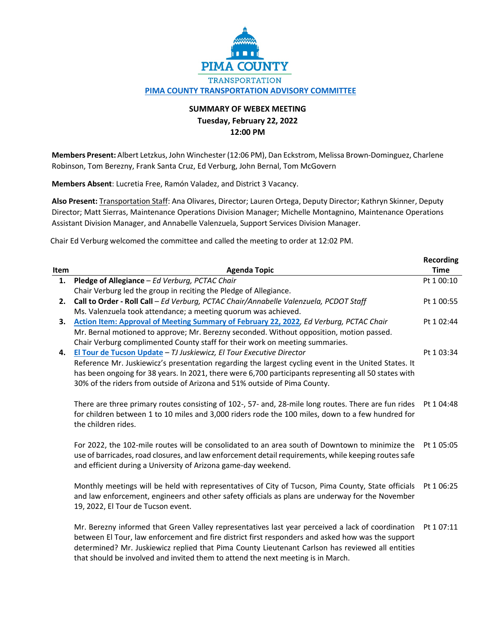

## **SUMMARY OF WEBEX MEETING Tuesday, February 22, 2022 12:00 PM**

**Members Present:** Albert Letzkus, John Winchester (12:06 PM), Dan Eckstrom, Melissa Brown-Dominguez, Charlene Robinson, Tom Berezny, Frank Santa Cruz, Ed Verburg, John Bernal, Tom McGovern

**Members Absent**: Lucretia Free, Ramón Valadez, and District 3 Vacancy.

**Also Present:** Transportation Staff: Ana Olivares, Director; Lauren Ortega, Deputy Director; Kathryn Skinner, Deputy Director; Matt Sierras, Maintenance Operations Division Manager; Michelle Montagnino, Maintenance Operations Assistant Division Manager, and Annabelle Valenzuela, Support Services Division Manager.

Chair Ed Verburg welcomed the committee and called the meeting to order at 12:02 PM.

that should be involved and invited them to attend the next meeting is in March.

|      |                                                                                                       | <b>Recording</b> |
|------|-------------------------------------------------------------------------------------------------------|------------------|
| Item | <b>Agenda Topic</b>                                                                                   | <b>Time</b>      |
| 1.   | Pledge of Allegiance - Ed Verburg, PCTAC Chair                                                        | Pt 1 00:10       |
|      | Chair Verburg led the group in reciting the Pledge of Allegiance.                                     |                  |
| 2.   | Call to Order - Roll Call - Ed Verburg, PCTAC Chair/Annabelle Valenzuela, PCDOT Staff                 | Pt 1 00:55       |
|      | Ms. Valenzuela took attendance; a meeting quorum was achieved.                                        |                  |
| 3.   | Action Item: Approval of Meeting Summary of February 22, 2022, Ed Verburg, PCTAC Chair                | Pt 1 02:44       |
|      | Mr. Bernal motioned to approve; Mr. Berezny seconded. Without opposition, motion passed.              |                  |
|      | Chair Verburg complimented County staff for their work on meeting summaries.                          |                  |
| 4.   | El Tour de Tucson Update - TJ Juskiewicz, El Tour Executive Director                                  | Pt 1 03:34       |
|      | Reference Mr. Juskiewicz's presentation regarding the largest cycling event in the United States. It  |                  |
|      | has been ongoing for 38 years. In 2021, there were 6,700 participants representing all 50 states with |                  |
|      | 30% of the riders from outside of Arizona and 51% outside of Pima County.                             |                  |
|      |                                                                                                       |                  |
|      | There are three primary routes consisting of 102-, 57- and, 28-mile long routes. There are fun rides  | Pt 1 04:48       |
|      | for children between 1 to 10 miles and 3,000 riders rode the 100 miles, down to a few hundred for     |                  |
|      | the children rides.                                                                                   |                  |
|      |                                                                                                       |                  |
|      | For 2022, the 102-mile routes will be consolidated to an area south of Downtown to minimize the       | Pt 1 05:05       |
|      | use of barricades, road closures, and law enforcement detail requirements, while keeping routes safe  |                  |
|      | and efficient during a University of Arizona game-day weekend.                                        |                  |
|      |                                                                                                       |                  |
|      | Monthly meetings will be held with representatives of City of Tucson, Pima County, State officials    | Pt 1 06:25       |
|      | and law enforcement, engineers and other safety officials as plans are underway for the November      |                  |
|      | 19, 2022, El Tour de Tucson event.                                                                    |                  |
|      |                                                                                                       |                  |
|      | Mr. Berezny informed that Green Valley representatives last year perceived a lack of coordination     | Pt 1 07:11       |
|      | between El Tour, law enforcement and fire district first responders and asked how was the support     |                  |
|      | determined? Mr. Juskiewicz replied that Pima County Lieutenant Carlson has reviewed all entities      |                  |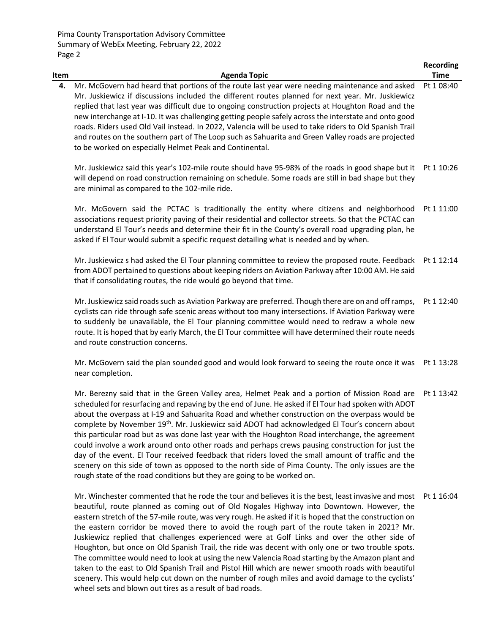|      |                                                                                                                                                                                                                                                                                                                                                                                                                                                                                                                                                                                                                                                                                                | <b>Recording</b> |
|------|------------------------------------------------------------------------------------------------------------------------------------------------------------------------------------------------------------------------------------------------------------------------------------------------------------------------------------------------------------------------------------------------------------------------------------------------------------------------------------------------------------------------------------------------------------------------------------------------------------------------------------------------------------------------------------------------|------------------|
| Item | <b>Agenda Topic</b>                                                                                                                                                                                                                                                                                                                                                                                                                                                                                                                                                                                                                                                                            | <b>Time</b>      |
| 4.   | Mr. McGovern had heard that portions of the route last year were needing maintenance and asked<br>Mr. Juskiewicz if discussions included the different routes planned for next year. Mr. Juskiewicz<br>replied that last year was difficult due to ongoing construction projects at Houghton Road and the<br>new interchange at I-10. It was challenging getting people safely across the interstate and onto good<br>roads. Riders used Old Vail instead. In 2022, Valencia will be used to take riders to Old Spanish Trail<br>and routes on the southern part of The Loop such as Sahuarita and Green Valley roads are projected<br>to be worked on especially Helmet Peak and Continental. | Pt 1 08:40       |
|      | Mr. Juskiewicz said this year's 102-mile route should have 95-98% of the roads in good shape but it<br>will depend on road construction remaining on schedule. Some roads are still in bad shape but they<br>are minimal as compared to the 102-mile ride.                                                                                                                                                                                                                                                                                                                                                                                                                                     | Pt 1 10:26       |
|      | Mr. McGovern said the PCTAC is traditionally the entity where citizens and neighborhood<br>associations request priority paving of their residential and collector streets. So that the PCTAC can<br>understand El Tour's needs and determine their fit in the County's overall road upgrading plan, he<br>asked if El Tour would submit a specific request detailing what is needed and by when.                                                                                                                                                                                                                                                                                              | Pt 1 11:00       |
|      | Mr. Juskiewicz s had asked the El Tour planning committee to review the proposed route. Feedback<br>from ADOT pertained to questions about keeping riders on Aviation Parkway after 10:00 AM. He said<br>that if consolidating routes, the ride would go beyond that time.                                                                                                                                                                                                                                                                                                                                                                                                                     | Pt 1 12:14       |
|      | Mr. Juskiewicz said roads such as Aviation Parkway are preferred. Though there are on and off ramps,<br>cyclists can ride through safe scenic areas without too many intersections. If Aviation Parkway were<br>to suddenly be unavailable, the El Tour planning committee would need to redraw a whole new<br>route. It is hoped that by early March, the El Tour committee will have determined their route needs<br>and route construction concerns.                                                                                                                                                                                                                                        | Pt 1 12:40       |
|      | Mr. McGovern said the plan sounded good and would look forward to seeing the route once it was<br>near completion.                                                                                                                                                                                                                                                                                                                                                                                                                                                                                                                                                                             | Pt 1 13:28       |
|      | Mr. Berezny said that in the Green Valley area, Helmet Peak and a portion of Mission Road are Pt 1 13:42<br>ADOT و عابان بر مردام مرد امروز می در TL از مراجع ما ان مورد از اگر امروز می است. به مردم مردم مردم می شود مردم امراضا مراجع                                                                                                                                                                                                                                                                                                                                                                                                                                                       |                  |

scheduled for resurfacing and repaving by the end of June. He asked if El Tour had spoken with ADOT about the overpass at I-19 and Sahuarita Road and whether construction on the overpass would be complete by November 19th. Mr. Juskiewicz said ADOT had acknowledged El Tour's concern about this particular road but as was done last year with the Houghton Road interchange, the agreement could involve a work around onto other roads and perhaps crews pausing construction for just the day of the event. El Tour received feedback that riders loved the small amount of traffic and the scenery on this side of town as opposed to the north side of Pima County. The only issues are the rough state of the road conditions but they are going to be worked on.

Mr. Winchester commented that he rode the tour and believes it is the best, least invasive and most Pt 1 16:04beautiful, route planned as coming out of Old Nogales Highway into Downtown. However, the eastern stretch of the 57-mile route, was very rough. He asked if it is hoped that the construction on the eastern corridor be moved there to avoid the rough part of the route taken in 2021? Mr. Juskiewicz replied that challenges experienced were at Golf Links and over the other side of Houghton, but once on Old Spanish Trail, the ride was decent with only one or two trouble spots. The committee would need to look at using the new Valencia Road starting by the Amazon plant and taken to the east to Old Spanish Trail and Pistol Hill which are newer smooth roads with beautiful scenery. This would help cut down on the number of rough miles and avoid damage to the cyclists' wheel sets and blown out tires as a result of bad roads.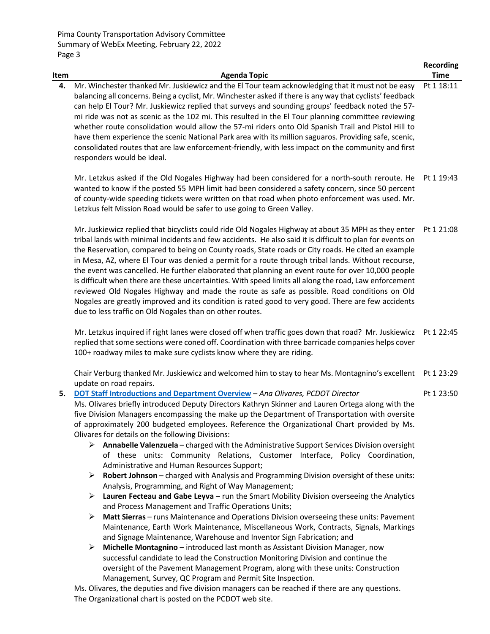| Item | <b>Agenda Topic</b>                                                                                                                                                                                                                                                                                                                                                                                                                                                                                                                                                                                                                                                                                                                                                          | Recording<br><b>Time</b> |
|------|------------------------------------------------------------------------------------------------------------------------------------------------------------------------------------------------------------------------------------------------------------------------------------------------------------------------------------------------------------------------------------------------------------------------------------------------------------------------------------------------------------------------------------------------------------------------------------------------------------------------------------------------------------------------------------------------------------------------------------------------------------------------------|--------------------------|
| 4.   | Mr. Winchester thanked Mr. Juskiewicz and the El Tour team acknowledging that it must not be easy<br>balancing all concerns. Being a cyclist, Mr. Winchester asked if there is any way that cyclists' feedback<br>can help El Tour? Mr. Juskiewicz replied that surveys and sounding groups' feedback noted the 57-<br>mi ride was not as scenic as the 102 mi. This resulted in the El Tour planning committee reviewing<br>whether route consolidation would allow the 57-mi riders onto Old Spanish Trail and Pistol Hill to<br>have them experience the scenic National Park area with its million saguaros. Providing safe, scenic,<br>consolidated routes that are law enforcement-friendly, with less impact on the community and first<br>responders would be ideal. | Pt 1 18:11               |

Mr. Letzkus asked if the Old Nogales Highway had been considered for a north-south reroute. He Pt 1 19:43 wanted to know if the posted 55 MPH limit had been considered a safety concern, since 50 percent of county-wide speeding tickets were written on that road when photo enforcement was used. Mr. Letzkus felt Mission Road would be safer to use going to Green Valley.

Mr. Juskiewicz replied that bicyclists could ride Old Nogales Highway at about 35 MPH as they enter Pt 1 21:08 tribal lands with minimal incidents and few accidents. He also said it is difficult to plan for events on the Reservation, compared to being on County roads, State roads or City roads. He cited an example in Mesa, AZ, where El Tour was denied a permit for a route through tribal lands. Without recourse, the event was cancelled. He further elaborated that planning an event route for over 10,000 people is difficult when there are these uncertainties. With speed limits all along the road, Law enforcement reviewed Old Nogales Highway and made the route as safe as possible. Road conditions on Old Nogales are greatly improved and its condition is rated good to very good. There are few accidents due to less traffic on Old Nogales than on other routes.

Mr. Letzkus inquired if right lanes were closed off when traffic goes down that road? Mr. Juskiewicz Pt 1 22:45 replied that some sections were coned off. Coordination with three barricade companies helps cover 100+ roadway miles to make sure cyclists know where they are riding.

Chair Verburg thanked Mr. Juskiewicz and welcomed him to stay to hear Ms. Montagnino's excellent Pt 1 23:29 update on road repairs.

- **5. [DOT Staff Introductions and Department Overview](https://webcms.pima.gov/UserFiles/Servers/Server_6/File/Government/Transportation/TransportationAdvisoryCommittee/DocumentsTab/2022/February%2022/DOT_ORG_Chart.pdf)** *Ana Olivares, PCDOT Director* Ms. Olivares briefly introduced Deputy Directors Kathryn Skinner and Lauren Ortega along with the five Division Managers encompassing the make up the Department of Transportation with oversite of approximately 200 budgeted employees. Reference the Organizational Chart provided by Ms. Olivares for details on the following Divisions: Pt 1 23:50
	- **Annabelle Valenzuela**  charged with the Administrative Support Services Division oversight of these units: Community Relations, Customer Interface, Policy Coordination, Administrative and Human Resources Support;
	- **Robert Johnson** charged with Analysis and Programming Division oversight of these units: Analysis, Programming, and Right of Way Management;
	- **Lauren Fecteau and Gabe Leyva**  run the Smart Mobility Division overseeing the Analytics and Process Management and Traffic Operations Units;
	- **Matt Sierras** runs Maintenance and Operations Division overseeing these units: Pavement Maintenance, Earth Work Maintenance, Miscellaneous Work, Contracts, Signals, Markings and Signage Maintenance, Warehouse and Inventor Sign Fabrication; and
	- **Michelle Montagnino** introduced last month as Assistant Division Manager, now successful candidate to lead the Construction Monitoring Division and continue the oversight of the Pavement Management Program, along with these units: Construction Management, Survey, QC Program and Permit Site Inspection.

Ms. Olivares, the deputies and five division managers can be reached if there are any questions. The Organizational chart is posted on the PCDOT web site.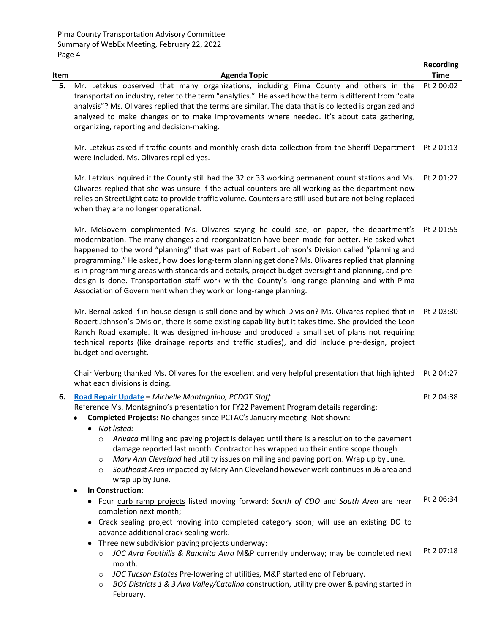| Item | <b>Agenda Topic</b>                                                                                                                                                                                                                                                                                                                                                                                                                                                                                                                                                                                                                                                      | <b>Recording</b><br><b>Time</b> |
|------|--------------------------------------------------------------------------------------------------------------------------------------------------------------------------------------------------------------------------------------------------------------------------------------------------------------------------------------------------------------------------------------------------------------------------------------------------------------------------------------------------------------------------------------------------------------------------------------------------------------------------------------------------------------------------|---------------------------------|
| 5.   | Mr. Letzkus observed that many organizations, including Pima County and others in the<br>transportation industry, refer to the term "analytics." He asked how the term is different from "data<br>analysis"? Ms. Olivares replied that the terms are similar. The data that is collected is organized and<br>analyzed to make changes or to make improvements where needed. It's about data gathering,<br>organizing, reporting and decision-making.                                                                                                                                                                                                                     | Pt 2 00:02                      |
|      | Mr. Letzkus asked if traffic counts and monthly crash data collection from the Sheriff Department Pt 201:13<br>were included. Ms. Olivares replied yes.                                                                                                                                                                                                                                                                                                                                                                                                                                                                                                                  |                                 |
|      | Mr. Letzkus inquired if the County still had the 32 or 33 working permanent count stations and Ms.<br>Olivares replied that she was unsure if the actual counters are all working as the department now<br>relies on StreetLight data to provide traffic volume. Counters are still used but are not being replaced<br>when they are no longer operational.                                                                                                                                                                                                                                                                                                              | Pt 2 01:27                      |
|      | Mr. McGovern complimented Ms. Olivares saying he could see, on paper, the department's<br>modernization. The many changes and reorganization have been made for better. He asked what<br>happened to the word "planning" that was part of Robert Johnson's Division called "planning and<br>programming." He asked, how does long-term planning get done? Ms. Olivares replied that planning<br>is in programming areas with standards and details, project budget oversight and planning, and pre-<br>design is done. Transportation staff work with the County's long-range planning and with Pima<br>Association of Government when they work on long-range planning. | Pt 2 01:55                      |
|      | Mr. Bernal asked if in-house design is still done and by which Division? Ms. Olivares replied that in<br>Robert Johnson's Division, there is some existing capability but it takes time. She provided the Leon<br>Ranch Road example. It was designed in-house and produced a small set of plans not requiring<br>technical reports (like drainage reports and traffic studies), and did include pre-design, project<br>budget and oversight.                                                                                                                                                                                                                            | Pt 2 03:30                      |
|      | Chair Verburg thanked Ms. Olivares for the excellent and very helpful presentation that highlighted<br>what each divisions is doing.                                                                                                                                                                                                                                                                                                                                                                                                                                                                                                                                     | Pt 2 04:27                      |
| 6.   | Road Repair Update - Michelle Montagnino, PCDOT Staff<br>Reference Ms. Montagnino's presentation for FY22 Pavement Program details regarding:<br>Completed Projects: No changes since PCTAC's January meeting. Not shown:<br>• Not listed:<br>Arivaca milling and paving project is delayed until there is a resolution to the pavement<br>$\circ$<br>damage reported last month. Contractor has wrapped up their entire scope though.<br>Mary Ann Cleveland had utility issues on milling and paving portion. Wrap up by June.<br>$\circ$<br>Southeast Area impacted by Mary Ann Cleveland however work continues in J6 area and<br>$\circ$<br>wrap up by June.         | Pt 2 04:38                      |
|      | In Construction:                                                                                                                                                                                                                                                                                                                                                                                                                                                                                                                                                                                                                                                         |                                 |
|      | Four curb ramp projects listed moving forward; South of CDO and South Area are near<br>completion next month;<br>• Crack sealing project moving into completed category soon; will use an existing DO to                                                                                                                                                                                                                                                                                                                                                                                                                                                                 | Pt 2 06:34                      |
|      | advance additional crack sealing work.<br>Three new subdivision paving projects underway:                                                                                                                                                                                                                                                                                                                                                                                                                                                                                                                                                                                |                                 |

- o *JOC Avra Foothills & Ranchita Avra* M&P currently underway; may be completed next month. Pt 2 07:18
- o *JOC Tucson Estates* Pre-lowering of utilities, M&P started end of February.
- o *BOS Districts 1 & 3 Ava Valley/Catalina* construction, utility prelower & paving started in February.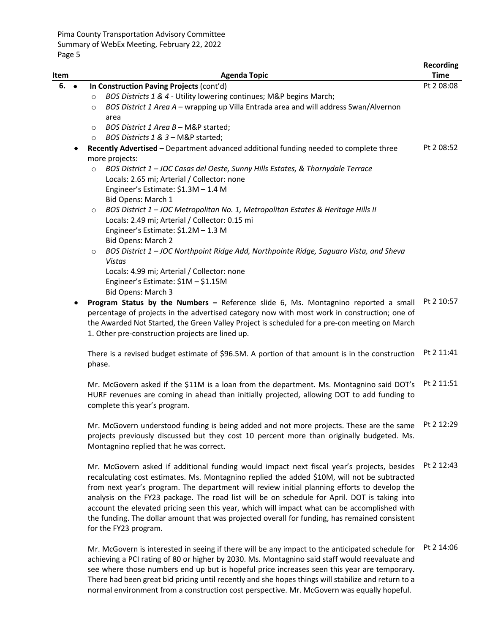| Item            | <b>Agenda Topic</b>                                                                                                                                                                                                                                                                                                                     | <b>Recording</b><br><b>Time</b> |
|-----------------|-----------------------------------------------------------------------------------------------------------------------------------------------------------------------------------------------------------------------------------------------------------------------------------------------------------------------------------------|---------------------------------|
| 6.<br>$\bullet$ | In Construction Paving Projects (cont'd)<br>BOS Districts 1 & 4 - Utility lowering continues; M&P begins March;<br>$\circ$                                                                                                                                                                                                              | Pt 2 08:08                      |
|                 | BOS District 1 Area A - wrapping up Villa Entrada area and will address Swan/Alvernon<br>$\circ$<br>area                                                                                                                                                                                                                                |                                 |
|                 | BOS District 1 Area B - M&P started;<br>$\circ$<br>BOS Districts 1 & 3 - M&P started;<br>$\circ$                                                                                                                                                                                                                                        |                                 |
|                 | Recently Advertised - Department advanced additional funding needed to complete three<br>more projects:                                                                                                                                                                                                                                 | Pt 2 08:52                      |
|                 | BOS District 1 - JOC Casas del Oeste, Sunny Hills Estates, & Thornydale Terrace<br>$\circ$<br>Locals: 2.65 mi; Arterial / Collector: none<br>Engineer's Estimate: \$1.3M - 1.4 M<br>Bid Opens: March 1                                                                                                                                  |                                 |
|                 | BOS District 1 - JOC Metropolitan No. 1, Metropolitan Estates & Heritage Hills II<br>$\circ$<br>Locals: 2.49 mi; Arterial / Collector: 0.15 mi<br>Engineer's Estimate: \$1.2M - 1.3 M<br>Bid Opens: March 2                                                                                                                             |                                 |
|                 | BOS District 1 - JOC Northpoint Ridge Add, Northpointe Ridge, Saguaro Vista, and Sheva<br>$\circ$<br><b>Vistas</b><br>Locals: 4.99 mi; Arterial / Collector: none<br>Engineer's Estimate: \$1M - \$1.15M<br>Bid Opens: March 3                                                                                                          |                                 |
|                 | Program Status by the Numbers - Reference slide 6, Ms. Montagnino reported a small<br>percentage of projects in the advertised category now with most work in construction; one of<br>the Awarded Not Started, the Green Valley Project is scheduled for a pre-con meeting on March<br>1. Other pre-construction projects are lined up. | Pt 2 10:57                      |
|                 | There is a revised budget estimate of \$96.5M. A portion of that amount is in the construction<br>phase.                                                                                                                                                                                                                                | Pt 2 11:41                      |
|                 | Mr. McGovern asked if the \$11M is a loan from the department. Ms. Montagnino said DOT's<br>HURF revenues are coming in ahead than initially projected, allowing DOT to add funding to<br>complete this year's program.                                                                                                                 | Pt 2 11:51                      |
|                 | Mr. McGovern understood funding is being added and not more projects. These are the same                                                                                                                                                                                                                                                | Pt 2 12:29                      |

projects previously discussed but they cost 10 percent more than originally budgeted. Ms. Montagnino replied that he was correct.

Mr. McGovern asked if additional funding would impact next fiscal year's projects, besides Pt 2 12:43 recalculating cost estimates. Ms. Montagnino replied the added \$10M, will not be subtracted from next year's program. The department will review initial planning efforts to develop the analysis on the FY23 package. The road list will be on schedule for April. DOT is taking into account the elevated pricing seen this year, which will impact what can be accomplished with the funding. The dollar amount that was projected overall for funding, has remained consistent for the FY23 program.

Mr. McGovern is interested in seeing if there will be any impact to the anticipated schedule for achieving a PCI rating of 80 or higher by 2030. Ms. Montagnino said staff would reevaluate and see where those numbers end up but is hopeful price increases seen this year are temporary. There had been great bid pricing until recently and she hopes things will stabilize and return to a normal environment from a construction cost perspective. Mr. McGovern was equally hopeful. Pt 2 14:06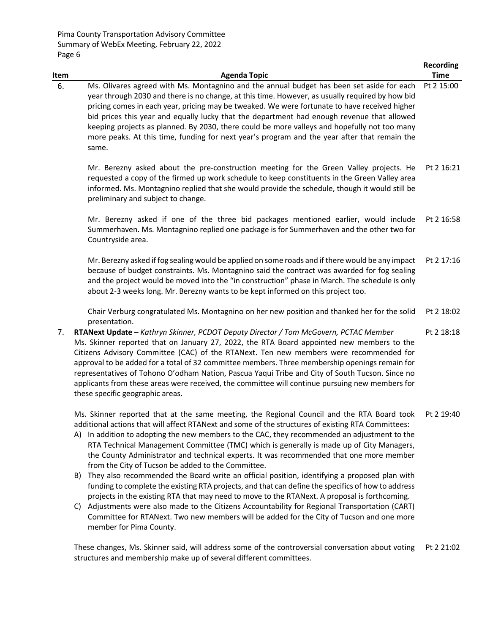|      |                                                                                                                                                                                                                                                                                                                                                                                                                                                                                                                                                                                                                                                                                                                                                                                                                                                                                                                                                                                                                                                                                         | <b>Recording</b> |
|------|-----------------------------------------------------------------------------------------------------------------------------------------------------------------------------------------------------------------------------------------------------------------------------------------------------------------------------------------------------------------------------------------------------------------------------------------------------------------------------------------------------------------------------------------------------------------------------------------------------------------------------------------------------------------------------------------------------------------------------------------------------------------------------------------------------------------------------------------------------------------------------------------------------------------------------------------------------------------------------------------------------------------------------------------------------------------------------------------|------------------|
| Item | <b>Agenda Topic</b>                                                                                                                                                                                                                                                                                                                                                                                                                                                                                                                                                                                                                                                                                                                                                                                                                                                                                                                                                                                                                                                                     | <b>Time</b>      |
| 6.   | Ms. Olivares agreed with Ms. Montagnino and the annual budget has been set aside for each<br>year through 2030 and there is no change, at this time. However, as usually required by how bid<br>pricing comes in each year, pricing may be tweaked. We were fortunate to have received higher<br>bid prices this year and equally lucky that the department had enough revenue that allowed<br>keeping projects as planned. By 2030, there could be more valleys and hopefully not too many<br>more peaks. At this time, funding for next year's program and the year after that remain the<br>same.                                                                                                                                                                                                                                                                                                                                                                                                                                                                                    | Pt 2 15:00       |
|      | Mr. Berezny asked about the pre-construction meeting for the Green Valley projects. He<br>requested a copy of the firmed up work schedule to keep constituents in the Green Valley area<br>informed. Ms. Montagnino replied that she would provide the schedule, though it would still be<br>preliminary and subject to change.                                                                                                                                                                                                                                                                                                                                                                                                                                                                                                                                                                                                                                                                                                                                                         | Pt 2 16:21       |
|      | Mr. Berezny asked if one of the three bid packages mentioned earlier, would include<br>Summerhaven. Ms. Montagnino replied one package is for Summerhaven and the other two for<br>Countryside area.                                                                                                                                                                                                                                                                                                                                                                                                                                                                                                                                                                                                                                                                                                                                                                                                                                                                                    | Pt 2 16:58       |
|      | Mr. Berezny asked if fog sealing would be applied on some roads and if there would be any impact<br>because of budget constraints. Ms. Montagnino said the contract was awarded for fog sealing<br>and the project would be moved into the "in construction" phase in March. The schedule is only<br>about 2-3 weeks long. Mr. Berezny wants to be kept informed on this project too.                                                                                                                                                                                                                                                                                                                                                                                                                                                                                                                                                                                                                                                                                                   | Pt 2 17:16       |
|      | Chair Verburg congratulated Ms. Montagnino on her new position and thanked her for the solid<br>presentation.                                                                                                                                                                                                                                                                                                                                                                                                                                                                                                                                                                                                                                                                                                                                                                                                                                                                                                                                                                           | Pt 2 18:02       |
| 7.   | RTANext Update - Kathryn Skinner, PCDOT Deputy Director / Tom McGovern, PCTAC Member<br>Ms. Skinner reported that on January 27, 2022, the RTA Board appointed new members to the<br>Citizens Advisory Committee (CAC) of the RTANext. Ten new members were recommended for<br>approval to be added for a total of 32 committee members. Three membership openings remain for<br>representatives of Tohono O'odham Nation, Pascua Yaqui Tribe and City of South Tucson. Since no<br>applicants from these areas were received, the committee will continue pursuing new members for<br>these specific geographic areas.                                                                                                                                                                                                                                                                                                                                                                                                                                                                 | Pt 2 18:18       |
|      | Ms. Skinner reported that at the same meeting, the Regional Council and the RTA Board took<br>additional actions that will affect RTANext and some of the structures of existing RTA Committees:<br>A) In addition to adopting the new members to the CAC, they recommended an adjustment to the<br>RTA Technical Management Committee (TMC) which is generally is made up of City Managers,<br>the County Administrator and technical experts. It was recommended that one more member<br>from the City of Tucson be added to the Committee.<br>They also recommended the Board write an official position, identifying a proposed plan with<br>B)<br>funding to complete the existing RTA projects, and that can define the specifics of how to address<br>projects in the existing RTA that may need to move to the RTANext. A proposal is forthcoming.<br>Adjustments were also made to the Citizens Accountability for Regional Transportation (CART)<br>C)<br>Committee for RTANext. Two new members will be added for the City of Tucson and one more<br>member for Pima County. | Pt 2 19:40       |
|      | These changes, Ms. Skinner said, will address some of the controversial conversation about voting<br>structures and membership make up of several different committees.                                                                                                                                                                                                                                                                                                                                                                                                                                                                                                                                                                                                                                                                                                                                                                                                                                                                                                                 | Pt 2 21:02       |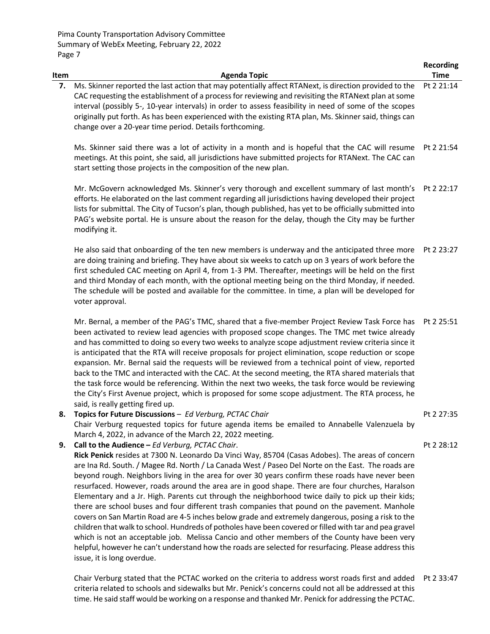issue, it is long overdue.

|      |                                                                                                                                                                                                                                                                                                                                                                                                                                                                                                                                                                                                                                                                                                                                                                                                                                                                                                                                                                                          | <b>Recording</b> |
|------|------------------------------------------------------------------------------------------------------------------------------------------------------------------------------------------------------------------------------------------------------------------------------------------------------------------------------------------------------------------------------------------------------------------------------------------------------------------------------------------------------------------------------------------------------------------------------------------------------------------------------------------------------------------------------------------------------------------------------------------------------------------------------------------------------------------------------------------------------------------------------------------------------------------------------------------------------------------------------------------|------------------|
| Item | <b>Agenda Topic</b>                                                                                                                                                                                                                                                                                                                                                                                                                                                                                                                                                                                                                                                                                                                                                                                                                                                                                                                                                                      | <b>Time</b>      |
| 7.   | Ms. Skinner reported the last action that may potentially affect RTANext, is direction provided to the<br>CAC requesting the establishment of a process for reviewing and revisiting the RTANext plan at some<br>interval (possibly 5-, 10-year intervals) in order to assess feasibility in need of some of the scopes<br>originally put forth. As has been experienced with the existing RTA plan, Ms. Skinner said, things can<br>change over a 20-year time period. Details forthcoming.                                                                                                                                                                                                                                                                                                                                                                                                                                                                                             | Pt 2 21:14       |
|      | Ms. Skinner said there was a lot of activity in a month and is hopeful that the CAC will resume<br>meetings. At this point, she said, all jurisdictions have submitted projects for RTANext. The CAC can<br>start setting those projects in the composition of the new plan.                                                                                                                                                                                                                                                                                                                                                                                                                                                                                                                                                                                                                                                                                                             | Pt 2 21:54       |
|      | Mr. McGovern acknowledged Ms. Skinner's very thorough and excellent summary of last month's<br>efforts. He elaborated on the last comment regarding all jurisdictions having developed their project<br>lists for submittal. The City of Tucson's plan, though published, has yet to be officially submitted into<br>PAG's website portal. He is unsure about the reason for the delay, though the City may be further<br>modifying it.                                                                                                                                                                                                                                                                                                                                                                                                                                                                                                                                                  | Pt 2 22:17       |
|      | He also said that onboarding of the ten new members is underway and the anticipated three more<br>are doing training and briefing. They have about six weeks to catch up on 3 years of work before the<br>first scheduled CAC meeting on April 4, from 1-3 PM. Thereafter, meetings will be held on the first<br>and third Monday of each month, with the optional meeting being on the third Monday, if needed.<br>The schedule will be posted and available for the committee. In time, a plan will be developed for<br>voter approval.                                                                                                                                                                                                                                                                                                                                                                                                                                                | Pt 2 23:27       |
|      | Mr. Bernal, a member of the PAG's TMC, shared that a five-member Project Review Task Force has<br>been activated to review lead agencies with proposed scope changes. The TMC met twice already<br>and has committed to doing so every two weeks to analyze scope adjustment review criteria since it<br>is anticipated that the RTA will receive proposals for project elimination, scope reduction or scope<br>expansion. Mr. Bernal said the requests will be reviewed from a technical point of view, reported<br>back to the TMC and interacted with the CAC. At the second meeting, the RTA shared materials that<br>the task force would be referencing. Within the next two weeks, the task force would be reviewing<br>the City's First Avenue project, which is proposed for some scope adjustment. The RTA process, he<br>said, is really getting fired up.                                                                                                                   | Pt 2 25:51       |
| 8.   | Topics for Future Discussions - Ed Verburg, PCTAC Chair<br>Chair Verburg requested topics for future agenda items be emailed to Annabelle Valenzuela by<br>March 4, 2022, in advance of the March 22, 2022 meeting.                                                                                                                                                                                                                                                                                                                                                                                                                                                                                                                                                                                                                                                                                                                                                                      | Pt 2 27:35       |
| 9.   | Call to the Audience - Ed Verburg, PCTAC Chair.<br>Rick Penick resides at 7300 N. Leonardo Da Vinci Way, 85704 (Casas Adobes). The areas of concern<br>are Ina Rd. South. / Magee Rd. North / La Canada West / Paseo Del Norte on the East. The roads are<br>beyond rough. Neighbors living in the area for over 30 years confirm these roads have never been<br>resurfaced. However, roads around the area are in good shape. There are four churches, Haralson<br>Elementary and a Jr. High. Parents cut through the neighborhood twice daily to pick up their kids;<br>there are school buses and four different trash companies that pound on the pavement. Manhole<br>covers on San Martin Road are 4-5 inches below grade and extremely dangerous, posing a risk to the<br>children that walk to school. Hundreds of potholes have been covered or filled with tar and pea gravel<br>which is not an acceptable job. Melissa Cancio and other members of the County have been very | Pt 2 28:12       |

Chair Verburg stated that the PCTAC worked on the criteria to address worst roads first and added Pt 2 33:47criteria related to schools and sidewalks but Mr. Penick's concerns could not all be addressed at this time. He said staff would be working on a response and thanked Mr. Penick for addressing the PCTAC.

helpful, however he can't understand how the roads are selected for resurfacing. Please address this